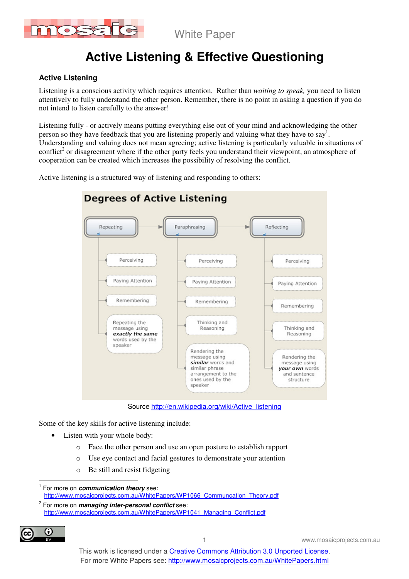

White Paper

# **Active Listening & Effective Questioning**

### **Active Listening**

Listening is a conscious activity which requires attention. Rather than *waiting to speak,* you need to listen attentively to fully understand the other person. Remember, there is no point in asking a question if you do not intend to listen carefully to the answer!

Listening fully - or actively means putting everything else out of your mind and acknowledging the other person so they have feedback that you are listening properly and valuing what they have to say<sup>1</sup>. Understanding and valuing does not mean agreeing; active listening is particularly valuable in situations of conflict<sup>2</sup> or disagreement where if the other party feels you understand their viewpoint, an atmosphere of cooperation can be created which increases the possibility of resolving the conflict.

Active listening is a structured way of listening and responding to others:



Source http://en.wikipedia.org/wiki/Active\_listening

Some of the key skills for active listening include:

- Listen with your whole body:
	- o Face the other person and use an open posture to establish rapport
	- o Use eye contact and facial gestures to demonstrate your attention
	- o Be still and resist fidgeting

<sup>2</sup> For more on **managing inter-personal conflict** see: http://www.mosaicprojects.com.au/WhitePapers/WP1041\_Managing\_Conflict.pdf



www.mosaicprojects.com.au

 $\overline{\phantom{a}}$ 1 For more on **communication theory** see: http://www.mosaicprojects.com.au/WhitePapers/WP1066\_Communcation\_Theory.pdf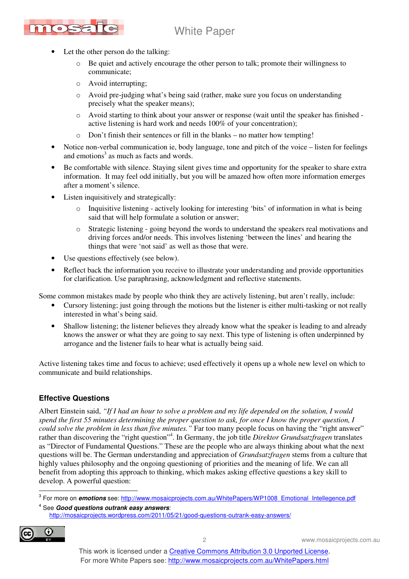

- Let the other person do the talking:
	- $\circ$  Be quiet and actively encourage the other person to talk; promote their willingness to communicate;
	- o Avoid interrupting;
	- o Avoid pre-judging what's being said (rather, make sure you focus on understanding precisely what the speaker means);
	- o Avoid starting to think about your answer or response (wait until the speaker has finished active listening is hard work and needs 100% of your concentration);
	- o Don't finish their sentences or fill in the blanks no matter how tempting!
- Notice non-verbal communication ie, body language, tone and pitch of the voice listen for feelings and emotions<sup>3</sup> as much as facts and words.
- Be comfortable with silence. Staying silent gives time and opportunity for the speaker to share extra information. It may feel odd initially, but you will be amazed how often more information emerges after a moment's silence.
- Listen inquisitively and strategically:
	- Inquisitive listening actively looking for interesting 'bits' of information in what is being said that will help formulate a solution or answer;
	- o Strategic listening going beyond the words to understand the speakers real motivations and driving forces and/or needs. This involves listening 'between the lines' and hearing the things that were 'not said' as well as those that were.
- Use questions effectively (see below).
- Reflect back the information you receive to illustrate your understanding and provide opportunities for clarification. Use paraphrasing, acknowledgment and reflective statements.

Some common mistakes made by people who think they are actively listening, but aren't really, include:

- Cursory listening; just going through the motions but the listener is either multi-tasking or not really interested in what's being said.
- Shallow listening; the listener believes they already know what the speaker is leading to and already knows the answer or what they are going to say next. This type of listening is often underpinned by arrogance and the listener fails to hear what is actually being said.

Active listening takes time and focus to achieve; used effectively it opens up a whole new level on which to communicate and build relationships.

### **Effective Questions**

Albert Einstein said, *"If I had an hour to solve a problem and my life depended on the solution, I would spend the first 55 minutes determining the proper question to ask, for once I know the proper question, I could solve the problem in less than five minutes."* Far too many people focus on having the "right answer" rather than discovering the "right question"<sup>4</sup>. In Germany, the job title *Direktor Grundsatzfragen* translates as "Director of Fundamental Questions." These are the people who are always thinking about what the next questions will be. The German understanding and appreciation of *Grundsatzfragen* stems from a culture that highly values philosophy and the ongoing questioning of priorities and the meaning of life. We can all benefit from adopting this approach to thinking, which makes asking effective questions a key skill to develop. A powerful question:

<sup>4</sup> See **Good questions outrank easy answers**: http://mosaicprojects.wordpress.com/2011/05/21/good-questions-outrank-easy-answers/



<sup>&</sup>lt;u>.<br><sup>3</sup> For more on *emotions* see: http://www.mosaicprojects.com.au/WhitePapers/WP1008\_Emotional\_Intellegence.pdf</u>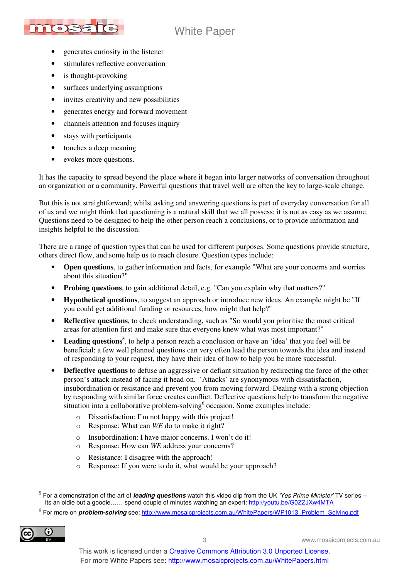# White Paper



- generates curiosity in the listener
- stimulates reflective conversation
- is thought-provoking
- surfaces underlying assumptions
- invites creativity and new possibilities
- generates energy and forward movement
- channels attention and focuses inquiry
- stays with participants
- touches a deep meaning
- evokes more questions.

It has the capacity to spread beyond the place where it began into larger networks of conversation throughout an organization or a community. Powerful questions that travel well are often the key to large-scale change.

But this is not straightforward; whilst asking and answering questions is part of everyday conversation for all of us and we might think that questioning is a natural skill that we all possess; it is not as easy as we assume. Questions need to be designed to help the other person reach a conclusions, or to provide information and insights helpful to the discussion.

There are a range of question types that can be used for different purposes. Some questions provide structure, others direct flow, and some help us to reach closure. Question types include:

- **Open questions**, to gather information and facts, for example "What are your concerns and worries about this situation?"
- **Probing questions**, to gain additional detail, e.g. "Can you explain why that matters?"
- **Hypothetical questions**, to suggest an approach or introduce new ideas. An example might be "If you could get additional funding or resources, how might that help?"
- **Reflective questions**, to check understanding, such as "So would you prioritise the most critical areas for attention first and make sure that everyone knew what was most important?"
- Leading questions<sup>5</sup>, to help a person reach a conclusion or have an 'idea' that you feel will be beneficial; a few well planned questions can very often lead the person towards the idea and instead of responding to your request, they have their idea of how to help you be more successful.
- **Deflective questions** to defuse an aggressive or defiant situation by redirecting the force of the other person's attack instead of facing it head-on. 'Attacks' are synonymous with dissatisfaction, insubordination or resistance and prevent you from moving forward. Dealing with a strong objection by responding with similar force creates conflict. Deflective questions help to transform the negative situation into a collaborative problem-solving $6$  occasion. Some examples include:
	- o Dissatisfaction: I'm not happy with this project!
	- o Response: What can *WE* do to make it right?
	- o Insubordination: I have major concerns. I won't do it!
	- o Response: How can *WE* address your concerns?
	- o Resistance: I disagree with the approach!
	- o Response: If you were to do it, what would be your approach?

<sup>&</sup>lt;sup>6</sup> For more on *problem-solving* see: http://www.mosaicprojects.com.au/WhitePapers/WP1013\_Problem\_Solving.pdf



3 www.mosaicprojects.com.au

 5 For a demonstration of the art of **leading questions** watch this video clip from the UK 'Yes Prime Minister' TV series – its an oldie but a goodie…… spend couple of minutes watching an expert: http://youtu.be/G0ZZJXw4MTA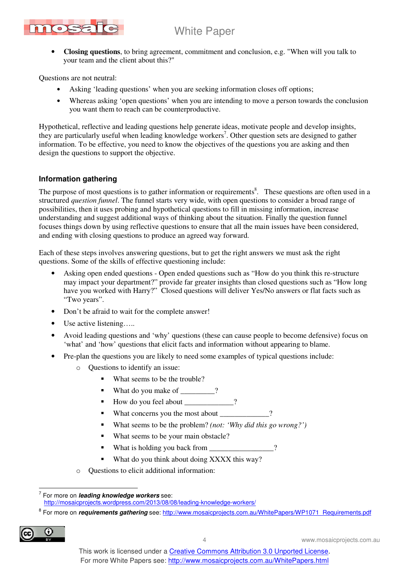

• **Closing questions**, to bring agreement, commitment and conclusion, e.g. "When will you talk to your team and the client about this?"

Questions are not neutral:

- Asking 'leading questions' when you are seeking information closes off options;
- Whereas asking 'open questions' when you are intending to move a person towards the conclusion you want them to reach can be counterproductive.

Hypothetical, reflective and leading questions help generate ideas, motivate people and develop insights, they are particularly useful when leading knowledge workers<sup>7</sup>. Other question sets are designed to gather information. To be effective, you need to know the objectives of the questions you are asking and then design the questions to support the objective.

### **Information gathering**

The purpose of most questions is to gather information or requirements<sup>8</sup>. These questions are often used in a structured *question funnel*. The funnel starts very wide, with open questions to consider a broad range of possibilities, then it uses probing and hypothetical questions to fill in missing information, increase understanding and suggest additional ways of thinking about the situation. Finally the question funnel focuses things down by using reflective questions to ensure that all the main issues have been considered, and ending with closing questions to produce an agreed way forward.

Each of these steps involves answering questions, but to get the right answers we must ask the right questions. Some of the skills of effective questioning include:

- Asking open ended questions Open ended questions such as "How do you think this re-structure may impact your department?" provide far greater insights than closed questions such as "How long have you worked with Harry?" Closed questions will deliver Yes/No answers or flat facts such as "Two years".
- Don't be afraid to wait for the complete answer!
- Use active listening.....
- Avoid leading questions and 'why' questions (these can cause people to become defensive) focus on 'what' and 'how' questions that elicit facts and information without appearing to blame.
- Pre-plan the questions you are likely to need some examples of typical questions include:
	- o Questions to identify an issue:
		- What seems to be the trouble?
		- What do you make of \_\_\_\_\_\_\_?
		- How do you feel about  $\qquad$  ?
		- What concerns you the most about \_\_\_\_\_\_\_\_\_\_\_?
		- What seems to be the problem? *(not: 'Why did this go wrong?')*
		- What seems to be your main obstacle?
		- What is holding you back from \_\_\_\_\_\_\_\_\_\_\_\_\_\_\_?
		- What do you think about doing XXXX this way?
	- o Questions to elicit additional information:

<sup>&</sup>lt;sup>8</sup> For more on *requirements gathering* see: http://www.mosaicprojects.com.au/WhitePapers/WP1071\_Requirements.pdf



4 www.mosaicprojects.com.au

 7 For more on **leading knowledge workers** see: http://mosaicprojects.wordpress.com/2013/08/08/leading-knowledge-workers/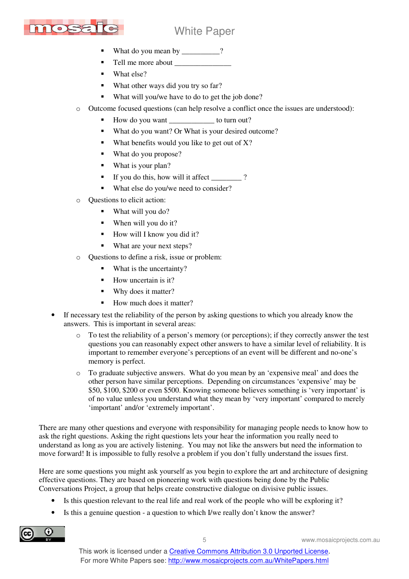

## White Paper

- What do you mean by \_\_\_\_\_\_\_\_\_?
- Tell me more about \_\_\_\_\_\_\_\_\_\_\_\_\_\_\_
- What else?
- What other ways did you try so far?
- What will you/we have to do to get the job done?
- o Outcome focused questions (can help resolve a conflict once the issues are understood):
	- How do you want \_\_\_\_\_\_\_\_\_\_\_\_ to turn out?
	- What do you want? Or What is your desired outcome?
	- What benefits would you like to get out of  $X$ ?
	- What do you propose?
	- What is your plan?
	- If you do this, how will it affect  $\frac{1}{\sqrt{2}}$  ?
	- What else do you/we need to consider?
- Questions to elicit action:
	- What will you do?
	- When will you do it?
	- How will I know you did it?
	- What are your next steps?
- o Questions to define a risk, issue or problem:
	- What is the uncertainty?
	- How uncertain is it?
	- Why does it matter?
	- How much does it matter?
- If necessary test the reliability of the person by asking questions to which you already know the answers. This is important in several areas:
	- $\circ$  To test the reliability of a person's memory (or perceptions); if they correctly answer the test questions you can reasonably expect other answers to have a similar level of reliability. It is important to remember everyone's perceptions of an event will be different and no-one's memory is perfect.
	- o To graduate subjective answers. What do you mean by an 'expensive meal' and does the other person have similar perceptions. Depending on circumstances 'expensive' may be \$50, \$100, \$200 or even \$500. Knowing someone believes something is 'very important' is of no value unless you understand what they mean by 'very important' compared to merely 'important' and/or 'extremely important'.

There are many other questions and everyone with responsibility for managing people needs to know how to ask the right questions. Asking the right questions lets your hear the information you really need to understand as long as you are actively listening. You may not like the answers but need the information to move forward! It is impossible to fully resolve a problem if you don't fully understand the issues first.

Here are some questions you might ask yourself as you begin to explore the art and architecture of designing effective questions. They are based on pioneering work with questions being done by the Public Conversations Project, a group that helps create constructive dialogue on divisive public issues.

- Is this question relevant to the real life and real work of the people who will be exploring it?
- Is this a genuine question a question to which I/we really don't know the answer?

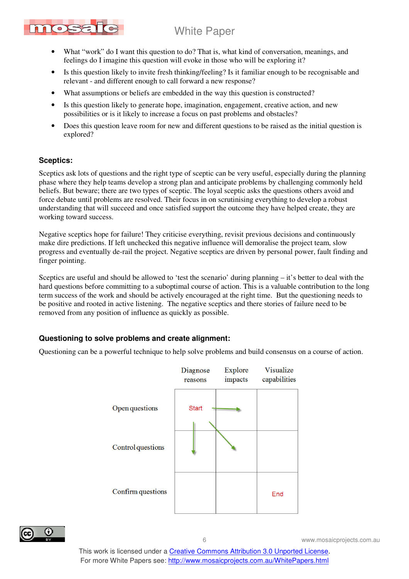

- What "work" do I want this question to do? That is, what kind of conversation, meanings, and feelings do I imagine this question will evoke in those who will be exploring it?
- Is this question likely to invite fresh thinking/feeling? Is it familiar enough to be recognisable and relevant - and different enough to call forward a new response?
- What assumptions or beliefs are embedded in the way this question is constructed?
- Is this question likely to generate hope, imagination, engagement, creative action, and new possibilities or is it likely to increase a focus on past problems and obstacles?
- Does this question leave room for new and different questions to be raised as the initial question is explored?

### **Sceptics:**

Sceptics ask lots of questions and the right type of sceptic can be very useful, especially during the planning phase where they help teams develop a strong plan and anticipate problems by challenging commonly held beliefs. But beware; there are two types of sceptic. The loyal sceptic asks the questions others avoid and force debate until problems are resolved. Their focus in on scrutinising everything to develop a robust understanding that will succeed and once satisfied support the outcome they have helped create, they are working toward success.

Negative sceptics hope for failure! They criticise everything, revisit previous decisions and continuously make dire predictions. If left unchecked this negative influence will demoralise the project team, slow progress and eventually de-rail the project. Negative sceptics are driven by personal power, fault finding and finger pointing.

Sceptics are useful and should be allowed to 'test the scenario' during planning – it's better to deal with the hard questions before committing to a suboptimal course of action. This is a valuable contribution to the long term success of the work and should be actively encouraged at the right time. But the questioning needs to be positive and rooted in active listening. The negative sceptics and there stories of failure need to be removed from any position of influence as quickly as possible.

#### **Questioning to solve problems and create alignment:**

Questioning can be a powerful technique to help solve problems and build consensus on a course of action.





6 www.mosaicprojects.com.au

This work is licensed under a Creative Commons Attribution 3.0 Unported License. For more White Papers see: http://www.mosaicprojects.com.au/WhitePapers.html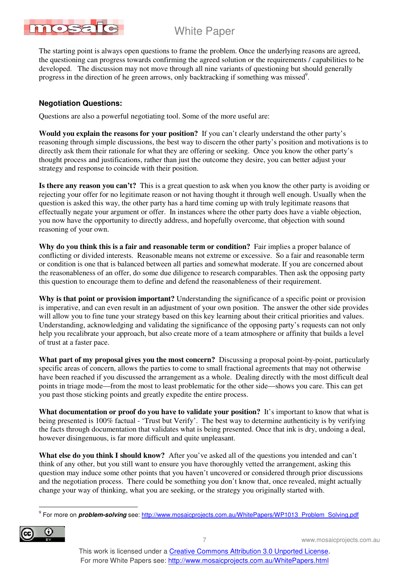

The starting point is always open questions to frame the problem. Once the underlying reasons are agreed, the questioning can progress towards confirming the agreed solution or the requirements / capabilities to be developed. The discussion may not move through all nine variants of questioning but should generally progress in the direction of he green arrows, only backtracking if something was missed<sup>9</sup>.

### **Negotiation Questions:**

Questions are also a powerful negotiating tool. Some of the more useful are:

**Would you explain the reasons for your position?** If you can't clearly understand the other party's reasoning through simple discussions, the best way to discern the other party's position and motivations is to directly ask them their rationale for what they are offering or seeking. Once you know the other party's thought process and justifications, rather than just the outcome they desire, you can better adjust your strategy and response to coincide with their position.

**Is there any reason you can't?** This is a great question to ask when you know the other party is avoiding or rejecting your offer for no legitimate reason or not having thought it through well enough. Usually when the question is asked this way, the other party has a hard time coming up with truly legitimate reasons that effectually negate your argument or offer. In instances where the other party does have a viable objection, you now have the opportunity to directly address, and hopefully overcome, that objection with sound reasoning of your own.

**Why do you think this is a fair and reasonable term or condition?** Fair implies a proper balance of conflicting or divided interests. Reasonable means not extreme or excessive. So a fair and reasonable term or condition is one that is balanced between all parties and somewhat moderate. If you are concerned about the reasonableness of an offer, do some due diligence to research comparables. Then ask the opposing party this question to encourage them to define and defend the reasonableness of their requirement.

**Why is that point or provision important?** Understanding the significance of a specific point or provision is imperative, and can even result in an adjustment of your own position. The answer the other side provides will allow you to fine tune your strategy based on this key learning about their critical priorities and values. Understanding, acknowledging and validating the significance of the opposing party's requests can not only help you recalibrate your approach, but also create more of a team atmosphere or affinity that builds a level of trust at a faster pace.

**What part of my proposal gives you the most concern?** Discussing a proposal point-by-point, particularly specific areas of concern, allows the parties to come to small fractional agreements that may not otherwise have been reached if you discussed the arrangement as a whole. Dealing directly with the most difficult deal points in triage mode—from the most to least problematic for the other side—shows you care. This can get you past those sticking points and greatly expedite the entire process.

**What documentation or proof do you have to validate your position?** It's important to know that what is being presented is 100% factual - 'Trust but Verify'. The best way to determine authenticity is by verifying the facts through documentation that validates what is being presented. Once that ink is dry, undoing a deal, however disingenuous, is far more difficult and quite unpleasant.

**What else do you think I should know?** After you've asked all of the questions you intended and can't think of any other, but you still want to ensure you have thoroughly vetted the arrangement, asking this question may induce some other points that you haven't uncovered or considered through prior discussions and the negotiation process. There could be something you don't know that, once revealed, might actually change your way of thinking, what you are seeking, or the strategy you originally started with.

<sup>&</sup>lt;sup>9</sup> For more on *problem-solving* see: <u>http://www.mosaicprojects.com.au/WhitePapers/WP1013\_Problem\_Solving.pdf</u>



 $\overline{a}$